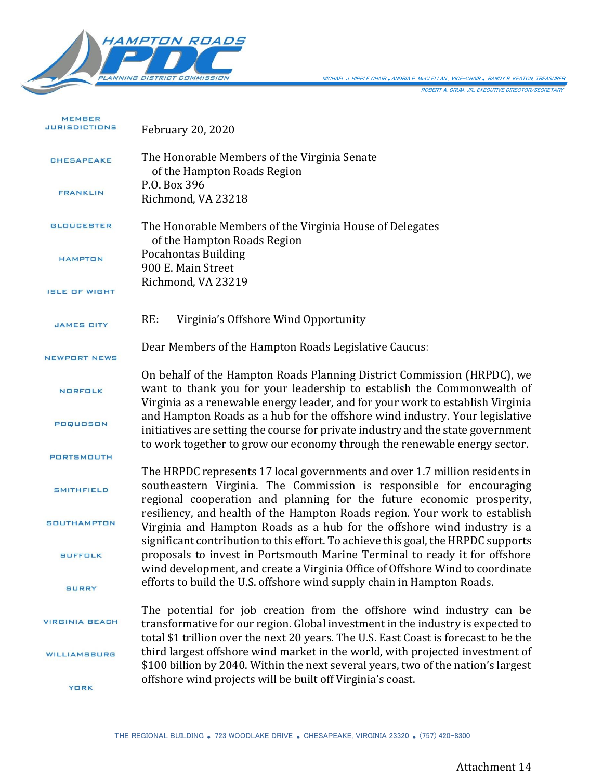

| <b>MEMBER</b><br><b>JURISDICTIONS</b> | <b>February 20, 2020</b>                                                                                                                                                                                                                         |
|---------------------------------------|--------------------------------------------------------------------------------------------------------------------------------------------------------------------------------------------------------------------------------------------------|
| <b>CHESAPEAKE</b>                     | The Honorable Members of the Virginia Senate<br>of the Hampton Roads Region                                                                                                                                                                      |
| <b>FRANKLIN</b>                       | P.O. Box 396<br>Richmond, VA 23218                                                                                                                                                                                                               |
| <b>GLOUCESTER</b>                     | The Honorable Members of the Virginia House of Delegates<br>of the Hampton Roads Region                                                                                                                                                          |
| <b>HAMPTON</b>                        | <b>Pocahontas Building</b><br>900 E. Main Street                                                                                                                                                                                                 |
| <b>ISLE OF WIGHT</b>                  | Richmond, VA 23219                                                                                                                                                                                                                               |
| <b>JAMES CITY</b>                     | RE:<br>Virginia's Offshore Wind Opportunity                                                                                                                                                                                                      |
| <b>NEWPORT NEWS</b>                   | Dear Members of the Hampton Roads Legislative Caucus:                                                                                                                                                                                            |
| <b>NORFOLK</b>                        | On behalf of the Hampton Roads Planning District Commission (HRPDC), we<br>want to thank you for your leadership to establish the Commonwealth of<br>Virginia as a renewable energy leader, and for your work to establish Virginia              |
| POQUOSON                              | and Hampton Roads as a hub for the offshore wind industry. Your legislative<br>initiatives are setting the course for private industry and the state government<br>to work together to grow our economy through the renewable energy sector.     |
| <b>PORTSMOUTH</b>                     |                                                                                                                                                                                                                                                  |
| <b>SMITHFIELD</b>                     | The HRPDC represents 17 local governments and over 1.7 million residents in<br>southeastern Virginia. The Commission is responsible for encouraging<br>regional cooperation and planning for the future economic prosperity,                     |
| <b>SOUTHAMPTON</b>                    | resiliency, and health of the Hampton Roads region. Your work to establish<br>Virginia and Hampton Roads as a hub for the offshore wind industry is a                                                                                            |
| <b>SUFFOLK</b>                        | significant contribution to this effort. To achieve this goal, the HRPDC supports<br>proposals to invest in Portsmouth Marine Terminal to ready it for offshore<br>wind development, and create a Virginia Office of Offshore Wind to coordinate |
| <b>SURRY</b>                          | efforts to build the U.S. offshore wind supply chain in Hampton Roads.                                                                                                                                                                           |
| <b>VIRGINIA BEACH</b>                 | The potential for job creation from the offshore wind industry can be<br>transformative for our region. Global investment in the industry is expected to<br>total \$1 trillion over the next 20 years. The U.S. East Coast is forecast to be the |
| WILLIAMSBURG                          | third largest offshore wind market in the world, with projected investment of<br>\$100 billion by 2040. Within the next several years, two of the nation's largest                                                                               |
| <b>YORK</b>                           | offshore wind projects will be built off Virginia's coast.                                                                                                                                                                                       |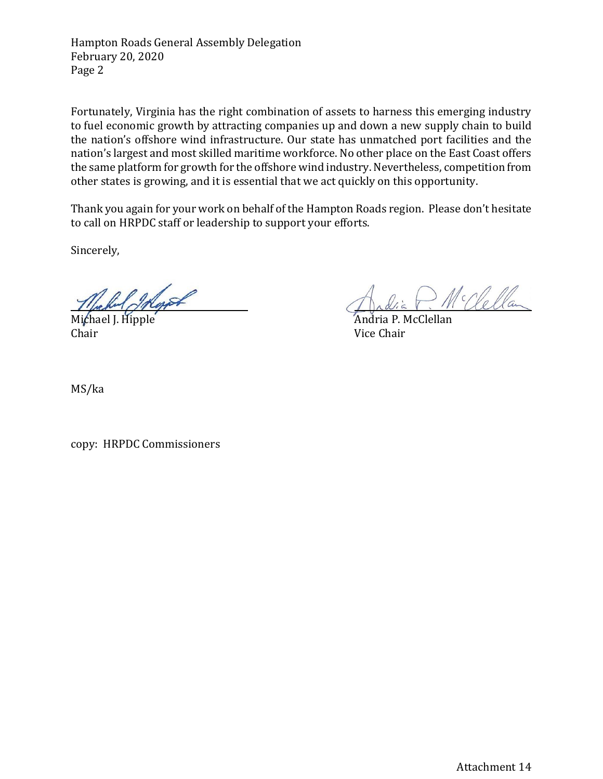Hampton Roads General Assembly Delegation February 20, 2020 Page 2

Fortunately, Virginia has the right combination of assets to harness this emerging industry to fuel economic growth by attracting companies up and down a new supply chain to build the nation's offshore wind infrastructure. Our state has unmatched port facilities and the nation's largest and most skilled maritime workforce. No other place on the East Coast offers the same platform for growth for the offshore wind industry. Nevertheless, competition from other states is growing, and it is essential that we act quickly on this opportunity.

Thank you again for your work on behalf of the Hampton Roads region. Please don't hesitate to call on HRPDC staff or leadership to support your efforts.

Sincerely,

Want

Michael J. Hipple **Andria P. McClellan** Chair Vice Chair

McClellan

MS/ka

copy: HRPDC Commissioners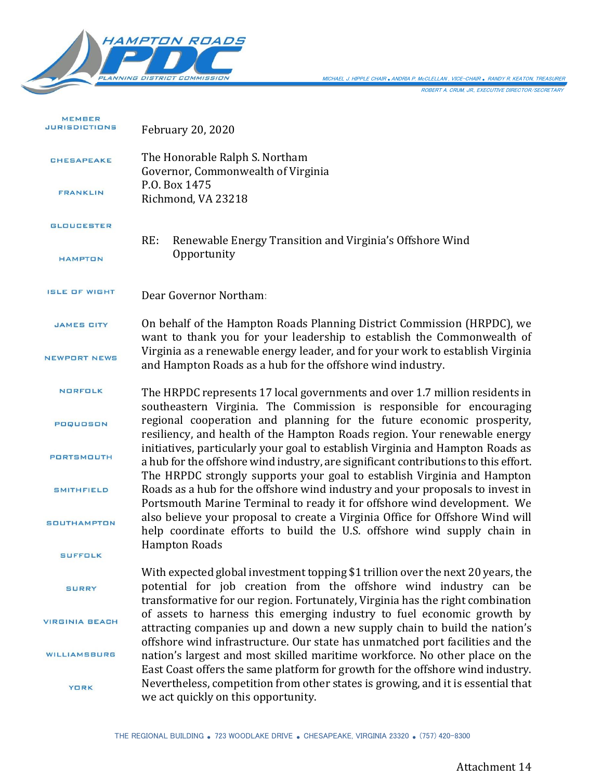

ROBERT A. CRUM, JR., EXECUTIVE DIRECTOR/SECRETARY MICHAEL J. HIPPLE CHAIR *.*ANDRIA P. McCLELLAN , VICE-CHAIR *.* RANDY R. KEATON, TREASURER

| <b>MEMBER</b><br><b>JURISDICTIONS</b> | <b>February 20, 2020</b>                                                                                                                                                                                                                         |
|---------------------------------------|--------------------------------------------------------------------------------------------------------------------------------------------------------------------------------------------------------------------------------------------------|
| <b>CHESAPEAKE</b>                     | The Honorable Ralph S. Northam<br>Governor, Commonwealth of Virginia                                                                                                                                                                             |
| <b>FRANKLIN</b>                       | P.O. Box 1475<br>Richmond, VA 23218                                                                                                                                                                                                              |
| <b>GLOUCESTER</b>                     | RE:<br>Renewable Energy Transition and Virginia's Offshore Wind<br>Opportunity                                                                                                                                                                   |
| <b>HAMPTON</b>                        |                                                                                                                                                                                                                                                  |
| <b>ISLE OF WIGHT</b>                  | Dear Governor Northam:                                                                                                                                                                                                                           |
| <b>JAMES CITY</b>                     | On behalf of the Hampton Roads Planning District Commission (HRPDC), we<br>want to thank you for your leadership to establish the Commonwealth of                                                                                                |
| <b>NEWPORT NEWS</b>                   | Virginia as a renewable energy leader, and for your work to establish Virginia<br>and Hampton Roads as a hub for the offshore wind industry.                                                                                                     |
| <b>NORFOLK</b>                        | The HRPDC represents 17 local governments and over 1.7 million residents in<br>southeastern Virginia. The Commission is responsible for encouraging                                                                                              |
| <b>POQUOSON</b>                       | regional cooperation and planning for the future economic prosperity,<br>resiliency, and health of the Hampton Roads region. Your renewable energy                                                                                               |
| <b>PORTSMOUTH</b>                     | initiatives, particularly your goal to establish Virginia and Hampton Roads as<br>a hub for the offshore wind industry, are significant contributions to this effort.<br>The HRPDC strongly supports your goal to establish Virginia and Hampton |
| <b>SMITHFIELD</b>                     | Roads as a hub for the offshore wind industry and your proposals to invest in<br>Portsmouth Marine Terminal to ready it for offshore wind development. We                                                                                        |
| <b>SOUTHAMPTON</b>                    | also believe your proposal to create a Virginia Office for Offshore Wind will<br>help coordinate efforts to build the U.S. offshore wind supply chain in                                                                                         |
| <b>SUFFOLK</b>                        | <b>Hampton Roads</b>                                                                                                                                                                                                                             |
| <b>SURRY</b>                          | With expected global investment topping \$1 trillion over the next 20 years, the<br>potential for job creation from the offshore wind industry can be<br>transformative for our region. Fortunately, Virginia has the right combination          |
| <b>VIRGINIA BEACH</b>                 | of assets to harness this emerging industry to fuel economic growth by<br>attracting companies up and down a new supply chain to build the nation's                                                                                              |
| WILLIAMSBURG                          | offshore wind infrastructure. Our state has unmatched port facilities and the<br>nation's largest and most skilled maritime workforce. No other place on the<br>East Coast offers the same platform for growth for the offshore wind industry.   |
| <b>YORK</b>                           | Nevertheless, competition from other states is growing, and it is essential that<br>we act quickly on this opportunity.                                                                                                                          |